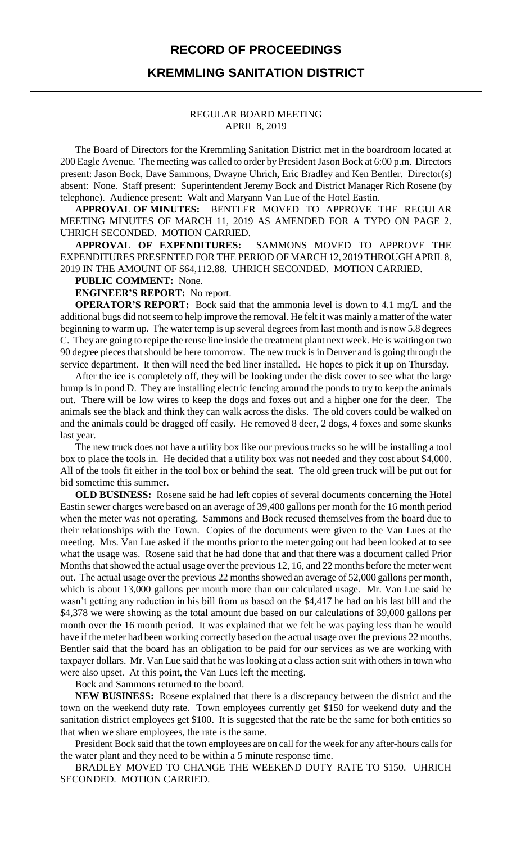## **RECORD OF PROCEEDINGS**

## **KREMMLING SANITATION DISTRICT**

#### REGULAR BOARD MEETING APRIL 8, 2019

The Board of Directors for the Kremmling Sanitation District met in the boardroom located at 200 Eagle Avenue. The meeting was called to order by President Jason Bock at 6:00 p.m. Directors present: Jason Bock, Dave Sammons, Dwayne Uhrich, Eric Bradley and Ken Bentler. Director(s) absent: None. Staff present: Superintendent Jeremy Bock and District Manager Rich Rosene (by telephone). Audience present: Walt and Maryann Van Lue of the Hotel Eastin.

**APPROVAL OF MINUTES:** BENTLER MOVED TO APPROVE THE REGULAR MEETING MINUTES OF MARCH 11, 2019 AS AMENDED FOR A TYPO ON PAGE 2. UHRICH SECONDED. MOTION CARRIED.

**APPROVAL OF EXPENDITURES:** SAMMONS MOVED TO APPROVE THE EXPENDITURES PRESENTED FOR THE PERIOD OF MARCH 12, 2019 THROUGH APRIL 8, 2019 IN THE AMOUNT OF \$64,112.88. UHRICH SECONDED. MOTION CARRIED.

### **PUBLIC COMMENT:** None.

**ENGINEER'S REPORT:** No report.

**OPERATOR'S REPORT:** Bock said that the ammonia level is down to 4.1 mg/L and the additional bugs did not seem to help improve the removal. He felt it was mainly a matter of the water beginning to warm up. The water temp is up several degrees from last month and is now 5.8 degrees C. They are going to repipe the reuse line inside the treatment plant next week. He is waiting on two 90 degree piecesthat should be here tomorrow. The new truck is in Denver and is going through the service department. It then will need the bed liner installed. He hopes to pick it up on Thursday.

After the ice is completely off, they will be looking under the disk cover to see what the large hump is in pond D. They are installing electric fencing around the ponds to try to keep the animals out. There will be low wires to keep the dogs and foxes out and a higher one for the deer. The animals see the black and think they can walk across the disks. The old covers could be walked on and the animals could be dragged off easily. He removed 8 deer, 2 dogs, 4 foxes and some skunks last year.

The new truck does not have a utility box like our previous trucks so he will be installing a tool box to place the tools in. He decided that a utility box was not needed and they cost about \$4,000. All of the tools fit either in the tool box or behind the seat. The old green truck will be put out for bid sometime this summer.

**OLD BUSINESS:** Rosene said he had left copies of several documents concerning the Hotel Eastin sewer charges were based on an average of 39,400 gallons per month for the 16 month period when the meter was not operating. Sammons and Bock recused themselves from the board due to their relationships with the Town. Copies of the documents were given to the Van Lues at the meeting. Mrs. Van Lue asked if the months prior to the meter going out had been looked at to see what the usage was. Rosene said that he had done that and that there was a document called Prior Months that showed the actual usage over the previous 12, 16, and 22 months before the meter went out. The actual usage over the previous 22 months showed an average of 52,000 gallons per month, which is about 13,000 gallons per month more than our calculated usage. Mr. Van Lue said he wasn't getting any reduction in his bill from us based on the \$4,417 he had on his last bill and the \$4,378 we were showing as the total amount due based on our calculations of 39,000 gallons per month over the 16 month period. It was explained that we felt he was paying less than he would have if the meter had been working correctly based on the actual usage over the previous 22 months. Bentler said that the board has an obligation to be paid for our services as we are working with taxpayer dollars. Mr. Van Lue said that he was looking at a class action suit with others in town who were also upset. At this point, the Van Lues left the meeting.

Bock and Sammons returned to the board.

**NEW BUSINESS:** Rosene explained that there is a discrepancy between the district and the town on the weekend duty rate. Town employees currently get \$150 for weekend duty and the sanitation district employees get \$100. It is suggested that the rate be the same for both entities so that when we share employees, the rate is the same.

President Bock said that the town employees are on call for the week for any after-hours calls for the water plant and they need to be within a 5 minute response time.

BRADLEY MOVED TO CHANGE THE WEEKEND DUTY RATE TO \$150. UHRICH SECONDED. MOTION CARRIED.